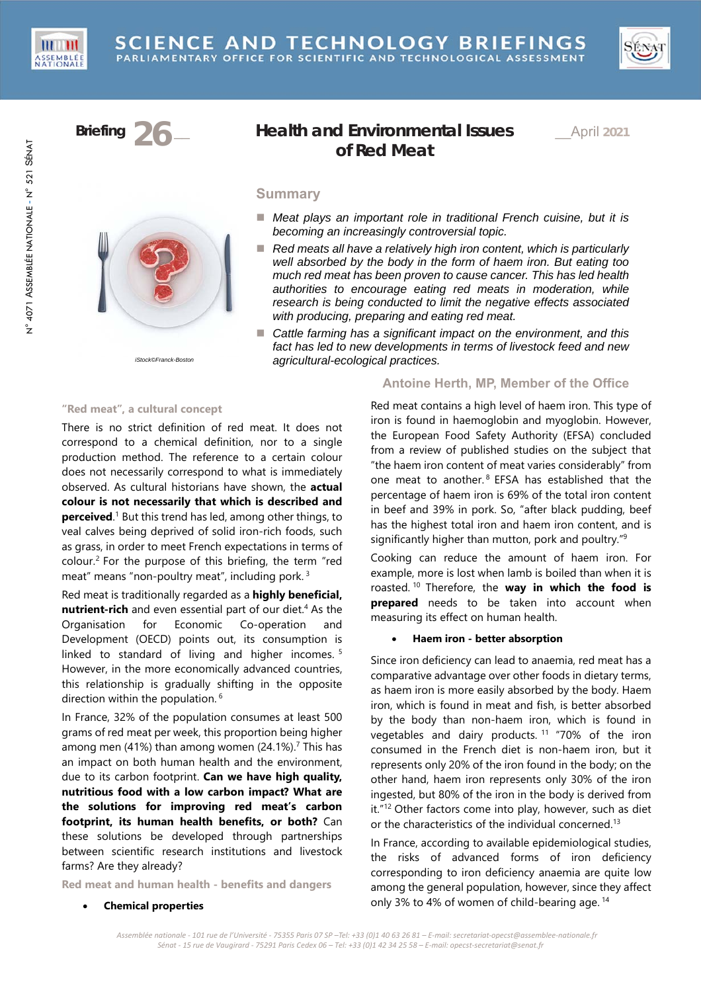



# **Briefing 26** \_\_ **Health and Environmental Issues of Red Meat**

\_\_April **2021**

# **Summary**

- Meat plays an *important role in traditional French cuisine, but it is becoming an increasingly controversial topic.*
- Red meats all have a relatively high iron content, which is particularly *well absorbed by the body in the form of haem iron. But eating too much red meat has been proven to cause cancer. This has led health authorities to encourage eating red meats in moderation, while research is being conducted to limit the negative effects associated with producing, preparing and eating red meat.*
- Cattle farming has a significant impact on the environment, and this *fact has led to new developments in terms of livestock feed and new agricultural-ecological practices.*

*iStock©Franck-Boston*

# **"Red meat", a cultural concept**

There is no strict definition of red meat. It does not correspond to a chemical definition, nor to a single production method. The reference to a certain colour does not necessarily correspond to what is immediately observed. As cultural historians have shown, the **actual colour is not necessarily that which is described and perceived**.<sup>1</sup> But this trend has led, among other things, to veal calves being deprived of solid iron-rich foods, such as grass, in order to meet French expectations in terms of colour.<sup>2</sup> For the purpose of this briefing, the term "red meat" means "non-poultry meat", including pork. 3

Red meat is traditionally regarded as a **highly beneficial,**  nutrient-rich and even essential part of our diet.<sup>4</sup> As the Organisation for Economic Co-operation and Development (OECD) points out, its consumption is linked to standard of living and higher incomes.<sup>5</sup> However, in the more economically advanced countries, this relationship is gradually shifting in the opposite direction within the population. 6

In France, 32% of the population consumes at least 500 grams of red meat per week, this proportion being higher among men (41%) than among women (24.1%).<sup>7</sup> This has an impact on both human health and the environment, due to its carbon footprint. **Can we have high quality, nutritious food with a low carbon impact? What are the solutions for improving red meat's carbon footprint, its human health benefits, or both?** Can these solutions be developed through partnerships between scientific research institutions and livestock farms? Are they already?

**Red meat and human health - benefits and dangers** 

# **Antoine Herth, MP, Member of the Office**

Red meat contains a high level of haem iron. This type of iron is found in haemoglobin and myoglobin. However, the European Food Safety Authority (EFSA) concluded from a review of published studies on the subject that "the haem iron content of meat varies considerably" from one meat to another.<sup>8</sup> EFSA has established that the percentage of haem iron is 69% of the total iron content in beef and 39% in pork. So, "after black pudding, beef has the highest total iron and haem iron content, and is significantly higher than mutton, pork and poultry."<sup>9</sup>

Cooking can reduce the amount of haem iron. For example, more is lost when lamb is boiled than when it is roasted. 10 Therefore, the **way in which the food is prepared** needs to be taken into account when measuring its effect on human health.

# **Haem iron - better absorption**

Since iron deficiency can lead to anaemia, red meat has a comparative advantage over other foods in dietary terms, as haem iron is more easily absorbed by the body. Haem iron, which is found in meat and fish, is better absorbed by the body than non-haem iron, which is found in vegetables and dairy products. 11 "70% of the iron consumed in the French diet is non-haem iron, but it represents only 20% of the iron found in the body; on the other hand, haem iron represents only 30% of the iron ingested, but 80% of the iron in the body is derived from it."12 Other factors come into play, however, such as diet or the characteristics of the individual concerned.13

In France, according to available epidemiological studies, the risks of advanced forms of iron deficiency corresponding to iron deficiency anaemia are quite low among the general population, however, since they affect only 3% to 4% of women of child-bearing age. 14

**Chemical properties**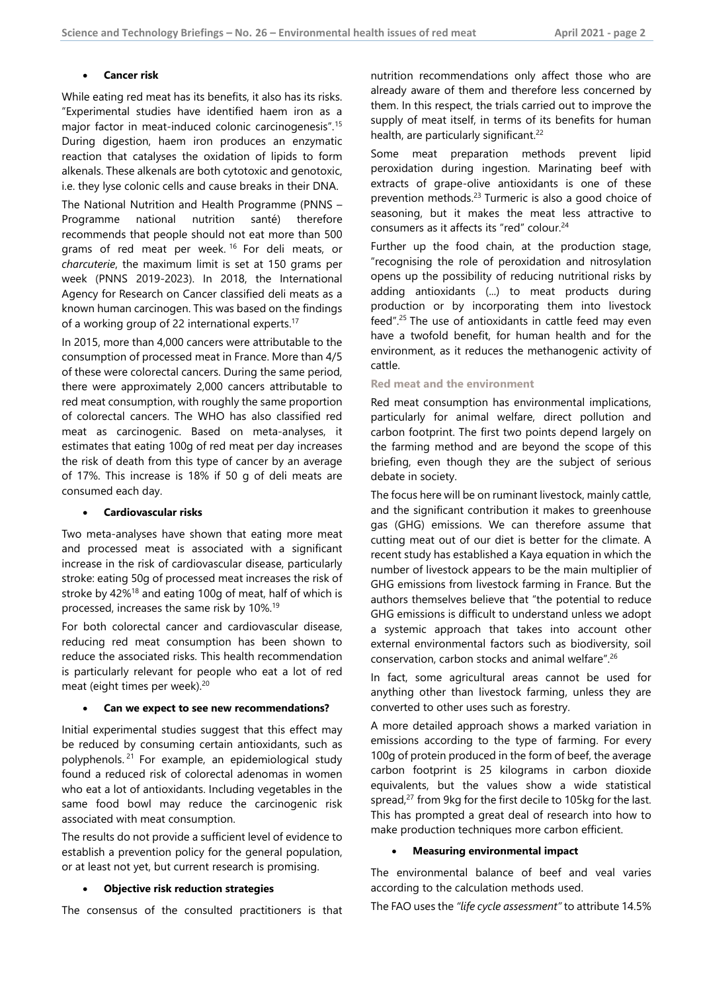#### **Cancer risk**

While eating red meat has its benefits, it also has its risks. "Experimental studies have identified haem iron as a major factor in meat-induced colonic carcinogenesis".15 During digestion, haem iron produces an enzymatic reaction that catalyses the oxidation of lipids to form alkenals. These alkenals are both cytotoxic and genotoxic, i.e. they lyse colonic cells and cause breaks in their DNA.

The National Nutrition and Health Programme (PNNS – Programme national nutrition santé) therefore recommends that people should not eat more than 500 grams of red meat per week.<sup>16</sup> For deli meats, or *charcuterie*, the maximum limit is set at 150 grams per week (PNNS 2019-2023). In 2018, the International Agency for Research on Cancer classified deli meats as a known human carcinogen. This was based on the findings of a working group of 22 international experts.<sup>17</sup>

In 2015, more than 4,000 cancers were attributable to the consumption of processed meat in France. More than 4/5 of these were colorectal cancers. During the same period, there were approximately 2,000 cancers attributable to red meat consumption, with roughly the same proportion of colorectal cancers. The WHO has also classified red meat as carcinogenic. Based on meta-analyses, it estimates that eating 100g of red meat per day increases the risk of death from this type of cancer by an average of 17%. This increase is 18% if 50 g of deli meats are consumed each day.

#### **Cardiovascular risks**

Two meta-analyses have shown that eating more meat and processed meat is associated with a significant increase in the risk of cardiovascular disease, particularly stroke: eating 50g of processed meat increases the risk of stroke by  $42\%$ <sup>18</sup> and eating 100g of meat, half of which is processed, increases the same risk by 10%.19

For both colorectal cancer and cardiovascular disease, reducing red meat consumption has been shown to reduce the associated risks. This health recommendation is particularly relevant for people who eat a lot of red meat (eight times per week).20

#### **Can we expect to see new recommendations?**

Initial experimental studies suggest that this effect may be reduced by consuming certain antioxidants, such as polyphenols. 21 For example, an epidemiological study found a reduced risk of colorectal adenomas in women who eat a lot of antioxidants. Including vegetables in the same food bowl may reduce the carcinogenic risk associated with meat consumption.

The results do not provide a sufficient level of evidence to establish a prevention policy for the general population, or at least not yet, but current research is promising.

# **Objective risk reduction strategies**

The consensus of the consulted practitioners is that

nutrition recommendations only affect those who are already aware of them and therefore less concerned by them. In this respect, the trials carried out to improve the supply of meat itself, in terms of its benefits for human health, are particularly significant.<sup>22</sup>

Some meat preparation methods prevent lipid peroxidation during ingestion. Marinating beef with extracts of grape-olive antioxidants is one of these prevention methods.<sup>23</sup> Turmeric is also a good choice of seasoning, but it makes the meat less attractive to consumers as it affects its "red" colour.<sup>24</sup>

Further up the food chain, at the production stage, "recognising the role of peroxidation and nitrosylation opens up the possibility of reducing nutritional risks by adding antioxidants (...) to meat products during production or by incorporating them into livestock feed".25 The use of antioxidants in cattle feed may even have a twofold benefit, for human health and for the environment, as it reduces the methanogenic activity of cattle.

# **Red meat and the environment**

Red meat consumption has environmental implications, particularly for animal welfare, direct pollution and carbon footprint. The first two points depend largely on the farming method and are beyond the scope of this briefing, even though they are the subject of serious debate in society.

The focus here will be on ruminant livestock, mainly cattle, and the significant contribution it makes to greenhouse gas (GHG) emissions. We can therefore assume that cutting meat out of our diet is better for the climate. A recent study has established a Kaya equation in which the number of livestock appears to be the main multiplier of GHG emissions from livestock farming in France. But the authors themselves believe that "the potential to reduce GHG emissions is difficult to understand unless we adopt a systemic approach that takes into account other external environmental factors such as biodiversity, soil conservation, carbon stocks and animal welfare".26

In fact, some agricultural areas cannot be used for anything other than livestock farming, unless they are converted to other uses such as forestry.

A more detailed approach shows a marked variation in emissions according to the type of farming. For every 100g of protein produced in the form of beef, the average carbon footprint is 25 kilograms in carbon dioxide equivalents, but the values show a wide statistical spread,<sup>27</sup> from 9kg for the first decile to 105kg for the last. This has prompted a great deal of research into how to make production techniques more carbon efficient.

# **Measuring environmental impact**

The environmental balance of beef and veal varies according to the calculation methods used.

The FAO uses the *"life cycle assessment"* to attribute 14.5%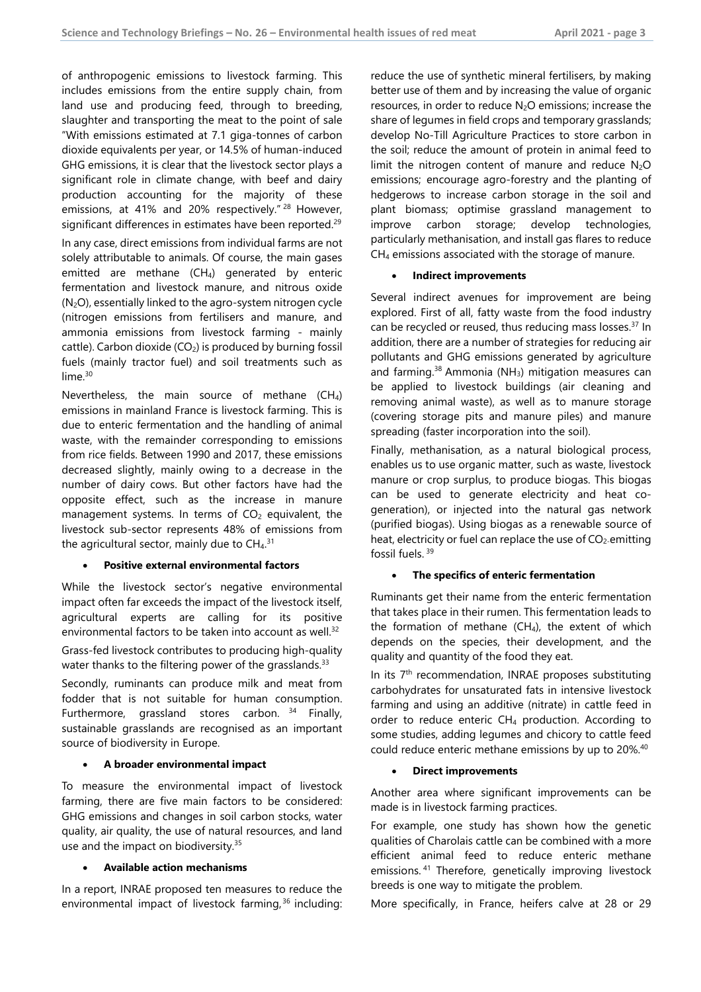of anthropogenic emissions to livestock farming. This includes emissions from the entire supply chain, from land use and producing feed, through to breeding, slaughter and transporting the meat to the point of sale "With emissions estimated at 7.1 giga-tonnes of carbon dioxide equivalents per year, or 14.5% of human-induced GHG emissions, it is clear that the livestock sector plays a significant role in climate change, with beef and dairy production accounting for the majority of these emissions, at 41% and 20% respectively." 28 However, significant differences in estimates have been reported.<sup>29</sup> In any case, direct emissions from individual farms are not solely attributable to animals. Of course, the main gases emitted are methane  $(CH<sub>4</sub>)$  generated by enteric fermentation and livestock manure, and nitrous oxide (N2O), essentially linked to the agro-system nitrogen cycle (nitrogen emissions from fertilisers and manure, and ammonia emissions from livestock farming - mainly cattle). Carbon dioxide  $(CO_2)$  is produced by burning fossil fuels (mainly tractor fuel) and soil treatments such as lime.<sup>30</sup>

Nevertheless, the main source of methane  $(CH_4)$ emissions in mainland France is livestock farming. This is due to enteric fermentation and the handling of animal waste, with the remainder corresponding to emissions from rice fields. Between 1990 and 2017, these emissions decreased slightly, mainly owing to a decrease in the number of dairy cows. But other factors have had the opposite effect, such as the increase in manure management systems. In terms of  $CO<sub>2</sub>$  equivalent, the livestock sub-sector represents 48% of emissions from the agricultural sector, mainly due to  $CH<sub>4</sub>$ .<sup>31</sup>

#### **Positive external environmental factors**

While the livestock sector's negative environmental impact often far exceeds the impact of the livestock itself, agricultural experts are calling for its positive environmental factors to be taken into account as well.<sup>32</sup>

Grass-fed livestock contributes to producing high-quality water thanks to the filtering power of the grasslands.<sup>33</sup>

Secondly, ruminants can produce milk and meat from fodder that is not suitable for human consumption. Furthermore, grassland stores carbon. <sup>34</sup> Finally, sustainable grasslands are recognised as an important source of biodiversity in Europe.

#### **A broader environmental impact**

To measure the environmental impact of livestock farming, there are five main factors to be considered: GHG emissions and changes in soil carbon stocks, water quality, air quality, the use of natural resources, and land use and the impact on biodiversity.<sup>35</sup>

#### **Available action mechanisms**

In a report, INRAE proposed ten measures to reduce the environmental impact of livestock farming,<sup>36</sup> including: reduce the use of synthetic mineral fertilisers, by making better use of them and by increasing the value of organic resources, in order to reduce  $N_2O$  emissions; increase the share of legumes in field crops and temporary grasslands; develop No-Till Agriculture Practices to store carbon in the soil; reduce the amount of protein in animal feed to limit the nitrogen content of manure and reduce  $N_2O$ emissions; encourage agro-forestry and the planting of hedgerows to increase carbon storage in the soil and plant biomass; optimise grassland management to improve carbon storage; develop technologies, particularly methanisation, and install gas flares to reduce CH4 emissions associated with the storage of manure.

#### **Indirect improvements**

Several indirect avenues for improvement are being explored. First of all, fatty waste from the food industry can be recycled or reused, thus reducing mass losses.<sup>37</sup> In addition, there are a number of strategies for reducing air pollutants and GHG emissions generated by agriculture and farming. $38$  Ammonia (NH<sub>3</sub>) mitigation measures can be applied to livestock buildings (air cleaning and removing animal waste), as well as to manure storage (covering storage pits and manure piles) and manure spreading (faster incorporation into the soil).

Finally, methanisation, as a natural biological process, enables us to use organic matter, such as waste, livestock manure or crop surplus, to produce biogas. This biogas can be used to generate electricity and heat cogeneration), or injected into the natural gas network (purified biogas). Using biogas as a renewable source of heat, electricity or fuel can replace the use of  $CO<sub>2</sub>$ -emitting fossil fuels. 39

### **The specifics of enteric fermentation**

Ruminants get their name from the enteric fermentation that takes place in their rumen. This fermentation leads to the formation of methane  $(CH_4)$ , the extent of which depends on the species, their development, and the quality and quantity of the food they eat.

In its 7<sup>th</sup> recommendation, INRAE proposes substituting carbohydrates for unsaturated fats in intensive livestock farming and using an additive (nitrate) in cattle feed in order to reduce enteric  $CH<sub>4</sub>$  production. According to some studies, adding legumes and chicory to cattle feed could reduce enteric methane emissions by up to 20%.40

## **Direct improvements**

Another area where significant improvements can be made is in livestock farming practices.

For example, one study has shown how the genetic qualities of Charolais cattle can be combined with a more efficient animal feed to reduce enteric methane emissions. 41 Therefore, genetically improving livestock breeds is one way to mitigate the problem.

More specifically, in France, heifers calve at 28 or 29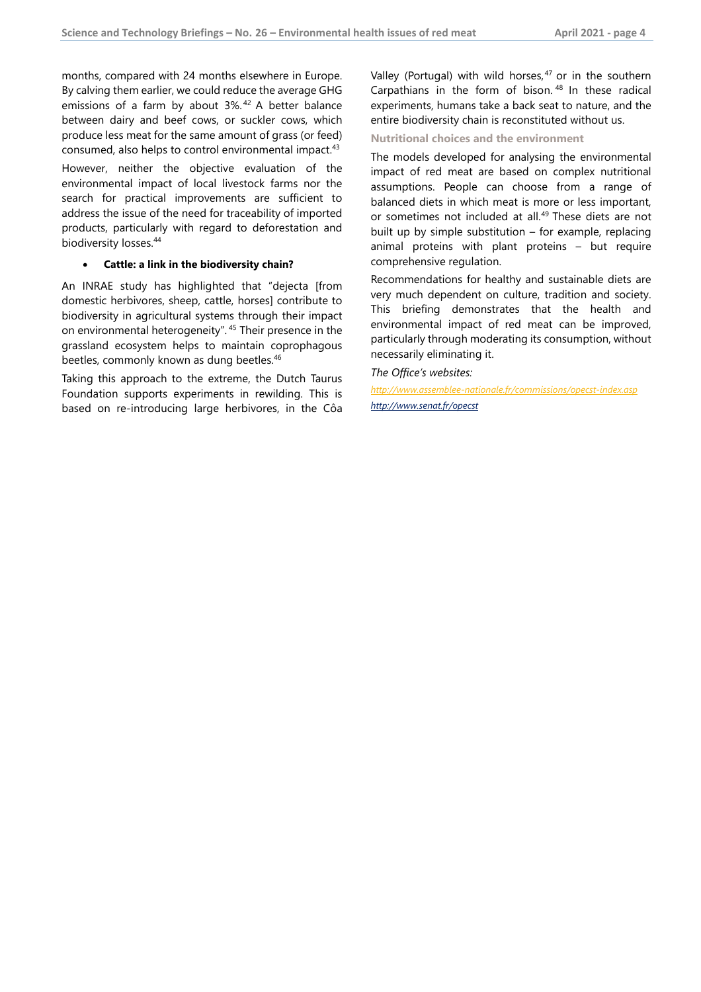months, compared with 24 months elsewhere in Europe. By calving them earlier, we could reduce the average GHG emissions of a farm by about 3%. 42 A better balance between dairy and beef cows, or suckler cows, which produce less meat for the same amount of grass (or feed) consumed, also helps to control environmental impact.43

However, neither the objective evaluation of the environmental impact of local livestock farms nor the search for practical improvements are sufficient to address the issue of the need for traceability of imported products, particularly with regard to deforestation and biodiversity losses.44

### **Cattle: a link in the biodiversity chain?**

An INRAE study has highlighted that "dejecta [from domestic herbivores, sheep, cattle, horses] contribute to biodiversity in agricultural systems through their impact on environmental heterogeneity". 45 Their presence in the grassland ecosystem helps to maintain coprophagous beetles, commonly known as dung beetles.<sup>46</sup>

Taking this approach to the extreme, the Dutch Taurus Foundation supports experiments in rewilding. This is based on re-introducing large herbivores, in the Côa Valley (Portugal) with wild horses, $47$  or in the southern Carpathians in the form of bison.  $48$  In these radical experiments, humans take a back seat to nature, and the entire biodiversity chain is reconstituted without us.

**Nutritional choices and the environment** 

The models developed for analysing the environmental impact of red meat are based on complex nutritional assumptions. People can choose from a range of balanced diets in which meat is more or less important, or sometimes not included at all.<sup>49</sup> These diets are not built up by simple substitution – for example, replacing animal proteins with plant proteins – but require comprehensive regulation.

Recommendations for healthy and sustainable diets are very much dependent on culture, tradition and society. This briefing demonstrates that the health and environmental impact of red meat can be improved, particularly through moderating its consumption, without necessarily eliminating it.

*The Office's websites:* 

*http://www.assemblee-nationale.fr/commissions/opecst-index.asp http://www.senat.fr/opecst*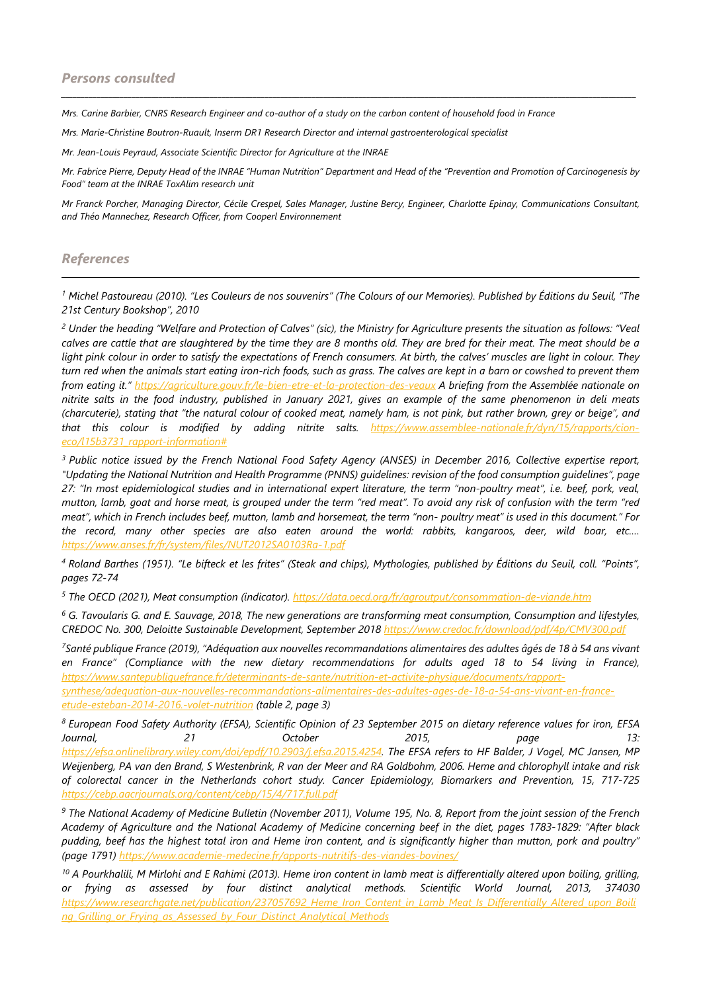*Mrs. Carine Barbier, CNRS Research Engineer and co-author of a study on the carbon content of household food in France* 

*Mrs. Marie-Christine Boutron-Ruault, Inserm DR1 Research Director and internal gastroenterological specialist* 

*Mr. Jean-Louis Peyraud, Associate Scientific Director for Agriculture at the INRAE* 

*Mr. Fabrice Pierre, Deputy Head of the INRAE "Human Nutrition" Department and Head of the "Prevention and Promotion of Carcinogenesis by Food" team at the INRAE ToxAlim research unit* 

*\_\_\_\_\_\_\_\_\_\_\_\_\_\_\_\_\_\_\_\_\_\_\_\_\_\_\_\_\_\_\_\_\_\_\_\_\_\_\_\_\_\_\_\_\_\_\_\_\_\_\_\_\_\_\_\_\_\_\_\_\_\_\_\_\_\_\_\_\_\_\_\_\_\_\_\_\_\_\_\_\_\_\_\_\_\_\_\_\_\_\_\_\_\_\_\_\_\_\_\_\_\_\_\_\_\_\_\_\_\_\_\_\_\_\_\_\_\_\_\_\_\_\_\_\_\_\_\_\_\_\_\_\_\_\_\_\_\_\_\_\_\_\_\_\_\_\_* 

*Mr Franck Porcher, Managing Director, Cécile Crespel, Sales Manager, Justine Bercy, Engineer, Charlotte Epinay, Communications Consultant, and Théo Mannechez, Research Officer, from Cooperl Environnement* 

# *References*

*1 Michel Pastoureau (2010). "Les Couleurs de nos souvenirs" (The Colours of our Memories). Published by Éditions du Seuil, "The 21st Century Bookshop", 2010* 

*2 Under the heading "Welfare and Protection of Calves" (sic), the Ministry for Agriculture presents the situation as follows: "Veal calves are cattle that are slaughtered by the time they are 8 months old. They are bred for their meat. The meat should be a light pink colour in order to satisfy the expectations of French consumers. At birth, the calves' muscles are light in colour. They turn red when the animals start eating iron-rich foods, such as grass. The calves are kept in a barn or cowshed to prevent them from eating it." https://agriculture.gouv.fr/le-bien-etre-et-la-protection-des-veaux A briefing from the Assemblée nationale on nitrite salts in the food industry, published in January 2021, gives an example of the same phenomenon in deli meats (charcuterie), stating that "the natural colour of cooked meat, namely ham, is not pink, but rather brown, grey or beige", and that this colour is modified by adding nitrite salts. https://www.assemblee-nationale.fr/dyn/15/rapports/cioneco/l15b3731\_rapport-information#* 

*3 Public notice issued by the French National Food Safety Agency (ANSES) in December 2016, Collective expertise report, "Updating the National Nutrition and Health Programme (PNNS) guidelines: revision of the food consumption guidelines", page 27: "In most epidemiological studies and in international expert literature, the term "non-poultry meat", i.e. beef, pork, veal, mutton, lamb, goat and horse meat, is grouped under the term "red meat". To avoid any risk of confusion with the term "red meat", which in French includes beef, mutton, lamb and horsemeat, the term "non- poultry meat" is used in this document." For the record, many other species are also eaten around the world: rabbits, kangaroos, deer, wild boar, etc.… https://www.anses.fr/fr/system/files/NUT2012SA0103Ra-1.pdf* 

*4 Roland Barthes (1951). "Le bifteck et les frites" (Steak and chips), Mythologies, published by Éditions du Seuil, coll. "Points", pages 72-74* 

*5 The OECD (2021), Meat consumption (indicator). https://data.oecd.org/fr/agroutput/consommation-de-viande.htm* 

*6 G. Tavoularis G. and E. Sauvage, 2018, The new generations are transforming meat consumption, Consumption and lifestyles, CREDOC No. 300, Deloitte Sustainable Development, September 2018 https://www.credoc.fr/download/pdf/4p/CMV300.pdf* 

*7Santé publique France (2019), "Adéquation aux nouvelles recommandations alimentaires des adultes âgés de 18 à 54 ans vivant en France" (Compliance with the new dietary recommendations for adults aged 18 to 54 living in France), https://www.santepubliquefrance.fr/determinants-de-sante/nutrition-et-activite-physique/documents/rapportsynthese/adequation-aux-nouvelles-recommandations-alimentaires-des-adultes-ages-de-18-a-54-ans-vivant-en-franceetude-esteban-2014-2016.-volet-nutrition (table 2, page 3)* 

*8 European Food Safety Authority (EFSA), Scientific Opinion of 23 September 2015 on dietary reference values for iron, EFSA Journal, 21 October 2015, page 13: https://efsa.onlinelibrary.wiley.com/doi/epdf/10.2903/j.efsa.2015.4254. The EFSA refers to HF Balder, J Vogel, MC Jansen, MP Weijenberg, PA van den Brand, S Westenbrink, R van der Meer and RA Goldbohm, 2006. Heme and chlorophyll intake and risk of colorectal cancer in the Netherlands cohort study. Cancer Epidemiology, Biomarkers and Prevention, 15, 717-725 https://cebp.aacrjournals.org/content/cebp/15/4/717.full.pdf* 

*9 The National Academy of Medicine Bulletin (November 2011), Volume 195, No. 8, Report from the joint session of the French Academy of Agriculture and the National Academy of Medicine concerning beef in the diet, pages 1783-1829: "After black pudding, beef has the highest total iron and Heme iron content, and is significantly higher than mutton, pork and poultry" (page 1791) https://www.academie-medecine.fr/apports-nutritifs-des-viandes-bovines/*

*10 A Pourkhalili, M Mirlohi and E Rahimi (2013). Heme iron content in lamb meat is differentially altered upon boiling, grilling, or frying as assessed by four distinct analytical methods. Scientific World Journal, 2013, 374030 https://www.researchgate.net/publication/237057692\_Heme\_Iron\_Content\_in\_Lamb\_Meat\_Is\_Differentially\_Altered\_upon\_Boili ng\_Grilling\_or\_Frying\_as\_Assessed\_by\_Four\_Distinct\_Analytical\_Methods*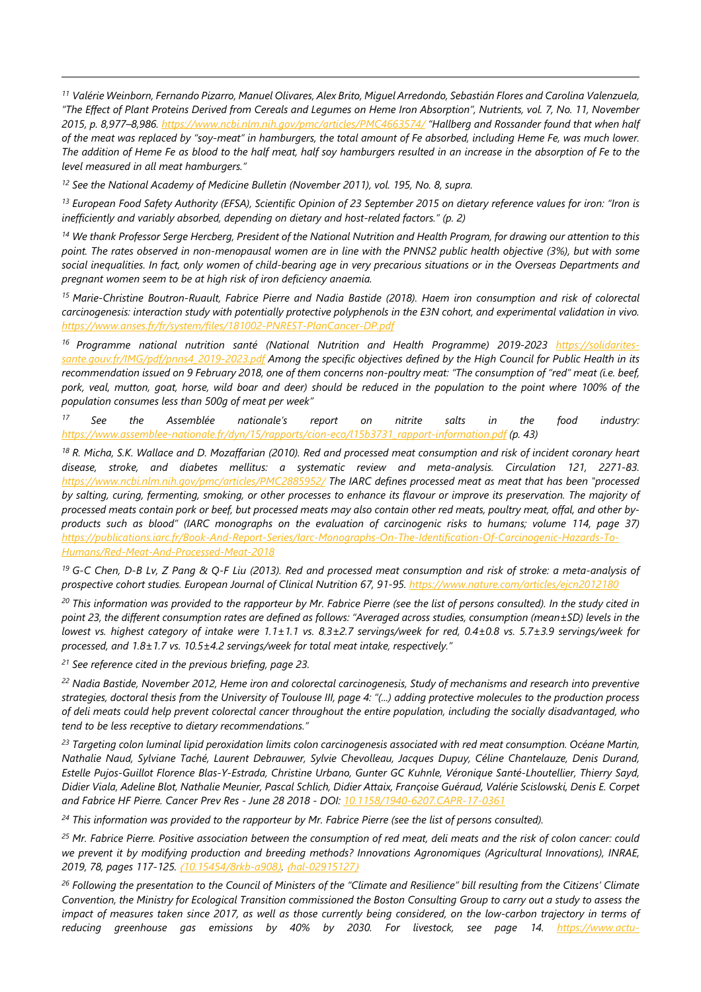*11 Valérie Weinborn, Fernando Pizarro, Manuel Olivares, Alex Brito, Miguel Arredondo, Sebastián Flores and Carolina Valenzuela, "The Effect of Plant Proteins Derived from Cereals and Legumes on Heme Iron Absorption", Nutrients, vol. 7, No. 11, November 2015, p. 8,977–8,986. https://www.ncbi.nlm.nih.gov/pmc/articles/PMC4663574/ "Hallberg and Rossander found that when half of the meat was replaced by "soy-meat" in hamburgers, the total amount of Fe absorbed, including Heme Fe, was much lower. The addition of Heme Fe as blood to the half meat, half soy hamburgers resulted in an increase in the absorption of Fe to the level measured in all meat hamburgers."* 

<sup>12</sup> See the National Academy of Medicine Bulletin (November 2011), vol. 195, No. 8, supra.

l

*13 European Food Safety Authority (EFSA), Scientific Opinion of 23 September 2015 on dietary reference values for iron: "Iron is inefficiently and variably absorbed, depending on dietary and host-related factors." (p. 2)* 

*14 We thank Professor Serge Hercberg, President of the National Nutrition and Health Program, for drawing our attention to this point. The rates observed in non-menopausal women are in line with the PNNS2 public health objective (3%), but with some social inequalities. In fact, only women of child-bearing age in very precarious situations or in the Overseas Departments and pregnant women seem to be at high risk of iron deficiency anaemia.* 

*15 Marie-Christine Boutron-Ruault, Fabrice Pierre and Nadia Bastide (2018). Haem iron consumption and risk of colorectal carcinogenesis: interaction study with potentially protective polyphenols in the E3N cohort, and experimental validation in vivo. https://www.anses.fr/fr/system/files/181002-PNREST-PlanCancer-DP.pdf* 

*16 Programme national nutrition santé (National Nutrition and Health Programme) 2019-2023 https://solidaritessante.gouv.fr/IMG/pdf/pnns4\_2019-2023.pdf Among the specific objectives defined by the High Council for Public Health in its recommendation issued on 9 February 2018, one of them concerns non-poultry meat: "The consumption of "red" meat (i.e. beef,*  pork, veal, mutton, goat, horse, wild boar and deer) should be reduced in the population to the point where 100% of the *population consumes less than 500g of meat per week"* 

*17 See the Assemblée nationale's report on nitrite salts in the food industry: https://www.assemblee-nationale.fr/dyn/15/rapports/cion-eco/l15b3731\_rapport-information.pdf (p. 43)*

*18 R. Micha, S.K. Wallace and D. Mozaffarian (2010). Red and processed meat consumption and risk of incident coronary heart disease, stroke, and diabetes mellitus: a systematic review and meta-analysis. Circulation 121, 2271-83. https://www.ncbi.nlm.nih.gov/pmc/articles/PMC2885952/ The IARC defines processed meat as meat that has been "processed by salting, curing, fermenting, smoking, or other processes to enhance its flavour or improve its preservation. The majority of processed meats contain pork or beef, but processed meats may also contain other red meats, poultry meat, offal, and other by*products such as blood" (IARC monographs on the evaluation of carcinogenic risks to humans; volume 114, page 37) *https://publications.iarc.fr/Book-And-Report-Series/Iarc-Monographs-On-The-Identification-Of-Carcinogenic-Hazards-To-Humans/Red-Meat-And-Processed-Meat-2018* 

*19 G-C Chen, D-B Lv, Z Pang & Q-F Liu (2013). Red and processed meat consumption and risk of stroke: a meta-analysis of prospective cohort studies. European Journal of Clinical Nutrition 67, 91-95. https://www.nature.com/articles/ejcn2012180* 

*20 This information was provided to the rapporteur by Mr. Fabrice Pierre (see the list of persons consulted). In the study cited in point 23, the different consumption rates are defined as follows: "Averaged across studies, consumption (mean±SD) levels in the lowest vs. highest category of intake were 1.1±1.1 vs. 8.3±2.7 servings/week for red, 0.4±0.8 vs. 5.7±3.9 servings/week for processed, and 1.8±1.7 vs. 10.5±4.2 servings/week for total meat intake, respectively."* 

*21 See reference cited in the previous briefing, page 23.* 

*22 Nadia Bastide, November 2012, Heme iron and colorectal carcinogenesis, Study of mechanisms and research into preventive strategies, doctoral thesis from the University of Toulouse III, page 4: "(...) adding protective molecules to the production process of deli meats could help prevent colorectal cancer throughout the entire population, including the socially disadvantaged, who tend to be less receptive to dietary recommendations."* 

*23 Targeting colon luminal lipid peroxidation limits colon carcinogenesis associated with red meat consumption. Océane Martin, Nathalie Naud, Sylviane Taché, Laurent Debrauwer, Sylvie Chevolleau, Jacques Dupuy, Céline Chantelauze, Denis Durand, Estelle Pujos-Guillot Florence Blas-Y-Estrada, Christine Urbano, Gunter GC Kuhnle, Véronique Santé-Lhoutellier, Thierry Sayd, Didier Viala, Adeline Blot, Nathalie Meunier, Pascal Schlich, Didier Attaix, Françoise Guéraud, Valérie Scislowski, Denis E. Corpet and Fabrice HF Pierre. Cancer Prev Res - June 28 2018 - DOI: 10.1158/1940-6207.CAPR-17-0361*

*24 This information was provided to the rapporteur by Mr. Fabrice Pierre (see the list of persons consulted).* 

*25 Mr. Fabrice Pierre. Positive association between the consumption of red meat, deli meats and the risk of colon cancer: could we prevent it by modifying production and breeding methods? Innovations Agronomiques (Agricultural Innovations), INRAE, 2019, 78, pages 117-125.* ⟨*10.15454/8rkb-a908*⟩*.* ⟨*hal-02915127*⟩

*26 Following the presentation to the Council of Ministers of the "Climate and Resilience" bill resulting from the Citizens' Climate Convention, the Ministry for Ecological Transition commissioned the Boston Consulting Group to carry out a study to assess the impact of measures taken since 2017, as well as those currently being considered, on the low-carbon trajectory in terms of reducing greenhouse gas emissions by 40% by 2030. For livestock, see page 14. https://www.actu-*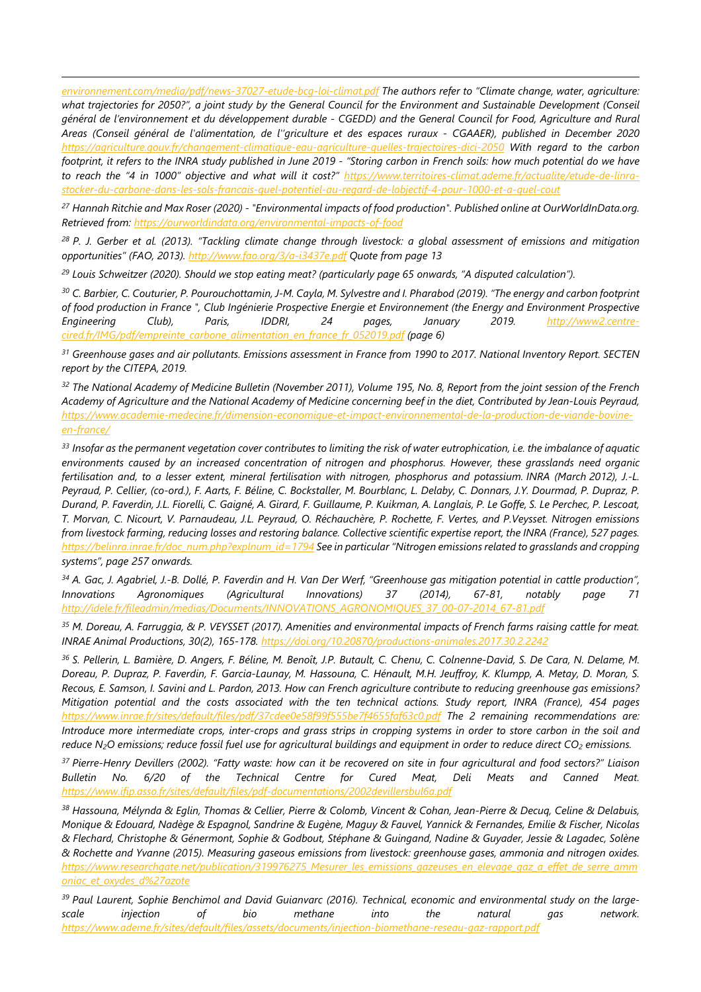*environnement.com/media/pdf/news-37027-etude-bcg-loi-climat.pdf The authors refer to "Climate change, water, agriculture: what trajectories for 2050?", a joint study by the General Council for the Environment and Sustainable Development (Conseil général de l'environnement et du développement durable - CGEDD) and the General Council for Food, Agriculture and Rural Areas (Conseil général de l'alimentation, de l''griculture et des espaces ruraux - CGAAER), published in December 2020 https://agriculture.gouv.fr/changement-climatique-eau-agriculture-quelles-trajectoires-dici-2050 With regard to the carbon footprint, it refers to the INRA study published in June 2019 - "Storing carbon in French soils: how much potential do we have to reach the "4 in 1000" objective and what will it cost?" https://www.territoires-climat.ademe.fr/actualite/etude-de-linrastocker-du-carbone-dans-les-sols-francais-quel-potentiel-au-regard-de-lobjectif-4-pour-1000-et-a-quel-cout* 

*27 Hannah Ritchie and Max Roser (2020) - "Environmental impacts of food production". Published online at OurWorldInData.org. Retrieved from: https://ourworldindata.org/environmental-impacts-of-food* 

*28 P. J. Gerber et al. (2013). "Tackling climate change through livestock: a global assessment of emissions and mitigation opportunities" (FAO, 2013). http://www.fao.org/3/a-i3437e.pdf Quote from page 13* 

*29 Louis Schweitzer (2020). Should we stop eating meat? (particularly page 65 onwards, "A disputed calculation").* 

l

*30 C. Barbier, C. Couturier, P. Pourouchottamin, J-M. Cayla, M. Sylvestre and I. Pharabod (2019). "The energy and carbon footprint of food production in France ", Club Ingénierie Prospective Energie et Environnement (the Energy and Environment Prospective Engineering Club), Paris, IDDRI, 24 pages, January 2019. http://www2.centrecired.fr/IMG/pdf/empreinte\_carbone\_alimentation\_en\_france\_fr\_052019.pdf (page 6)* 

*31 Greenhouse gases and air pollutants. Emissions assessment in France from 1990 to 2017. National Inventory Report. SECTEN report by the CITEPA, 2019.* 

*32 The National Academy of Medicine Bulletin (November 2011), Volume 195, No. 8, Report from the joint session of the French Academy of Agriculture and the National Academy of Medicine concerning beef in the diet, Contributed by Jean-Louis Peyraud, https://www.academie-medecine.fr/dimension-economique-et-impact-environnemental-de-la-production-de-viande-bovineen-france/* 

*33 Insofar as the permanent vegetation cover contributes to limiting the risk of water eutrophication, i.e. the imbalance of aquatic environments caused by an increased concentration of nitrogen and phosphorus. However, these grasslands need organic fertilisation and, to a lesser extent, mineral fertilisation with nitrogen, phosphorus and potassium. INRA (March 2012), J.-L. Peyraud, P. Cellier, (co-ord.), F. Aarts, F. Béline, C. Bockstaller, M. Bourblanc, L. Delaby, C. Donnars, J.Y. Dourmad, P. Dupraz, P. Durand, P. Faverdin, J.L. Fiorelli, C. Gaigné, A. Girard, F. Guillaume, P. Kuikman, A. Langlais, P. Le Goffe, S. Le Perchec, P. Lescoat, T. Morvan, C. Nicourt, V. Parnaudeau, J.L. Peyraud, O. Réchauchère, P. Rochette, F. Vertes, and P.Veysset. Nitrogen emissions from livestock farming, reducing losses and restoring balance. Collective scientific expertise report, the INRA (France), 527 pages. https://belinra.inrae.fr/doc\_num.php?explnum\_id=1794 See in particular "Nitrogen emissions related to grasslands and cropping systems", page 257 onwards.* 

*34 A. Gac, J. Agabriel, J.-B. Dollé, P. Faverdin and H. Van Der Werf, "Greenhouse gas mitigation potential in cattle production", Innovations Agronomiques (Agricultural Innovations) 37 (2014), 67-81, notably page 71 http://idele.fr/fileadmin/medias/Documents/INNOVATIONS\_AGRONOMIQUES\_37\_00-07-2014\_67-81.pdf* 

*35 M. Doreau, A. Farruggia, & P. VEYSSET (2017). Amenities and environmental impacts of French farms raising cattle for meat. INRAE Animal Productions, 30(2), 165-178. https://doi.org/10.20870/productions-animales.2017.30.2.2242* 

*36 S. Pellerin, L. Bamière, D. Angers, F. Béline, M. Benoît, J.P. Butault, C. Chenu, C. Colnenne-David, S. De Cara, N. Delame, M. Doreau, P. Dupraz, P. Faverdin, F. Garcia-Launay, M. Hassouna, C. Hénault, M.H. Jeuffroy, K. Klumpp, A. Metay, D. Moran, S. Recous, E. Samson, I. Savini and L. Pardon, 2013. How can French agriculture contribute to reducing greenhouse gas emissions? Mitigation potential and the costs associated with the ten technical actions. Study report, INRA (France), 454 pages https://www.inrae.fr/sites/default/files/pdf/37cdee0e58f99f555be7f4655faf63c0.pdf The 2 remaining recommendations are: Introduce more intermediate crops, inter-crops and grass strips in cropping systems in order to store carbon in the soil and reduce N2O emissions; reduce fossil fuel use for agricultural buildings and equipment in order to reduce direct CO2 emissions.* 

*37 Pierre-Henry Devillers (2002). "Fatty waste: how can it be recovered on site in four agricultural and food sectors?" Liaison Bulletin No. 6/20 of the Technical Centre for Cured Meat, Deli Meats and Canned Meat. https://www.ifip.asso.fr/sites/default/files/pdf-documentations/2002devillersbul6a.pdf* 

*38 Hassouna, Mélynda & Eglin, Thomas & Cellier, Pierre & Colomb, Vincent & Cohan, Jean-Pierre & Decuq, Celine & Delabuis, Monique & Edouard, Nadège & Espagnol, Sandrine & Eugène, Maguy & Fauvel, Yannick & Fernandes, Emilie & Fischer, Nicolas & Flechard, Christophe & Génermont, Sophie & Godbout, Stéphane & Guingand, Nadine & Guyader, Jessie & Lagadec, Solène & Rochette and Yvanne (2015). Measuring gaseous emissions from livestock: greenhouse gases, ammonia and nitrogen oxides. https://www.researchgate.net/publication/319976275\_Mesurer\_les\_emissions\_gazeuses\_en\_elevage\_gaz\_a\_effet\_de\_serre\_amm oniac\_et\_oxydes\_d%27azote* 

*39 Paul Laurent, Sophie Benchimol and David Guianvarc (2016). Technical, economic and environmental study on the largescale injection of bio methane into the natural gas network. https://www.ademe.fr/sites/default/files/assets/documents/injection-biomethane-reseau-gaz-rapport.pdf*